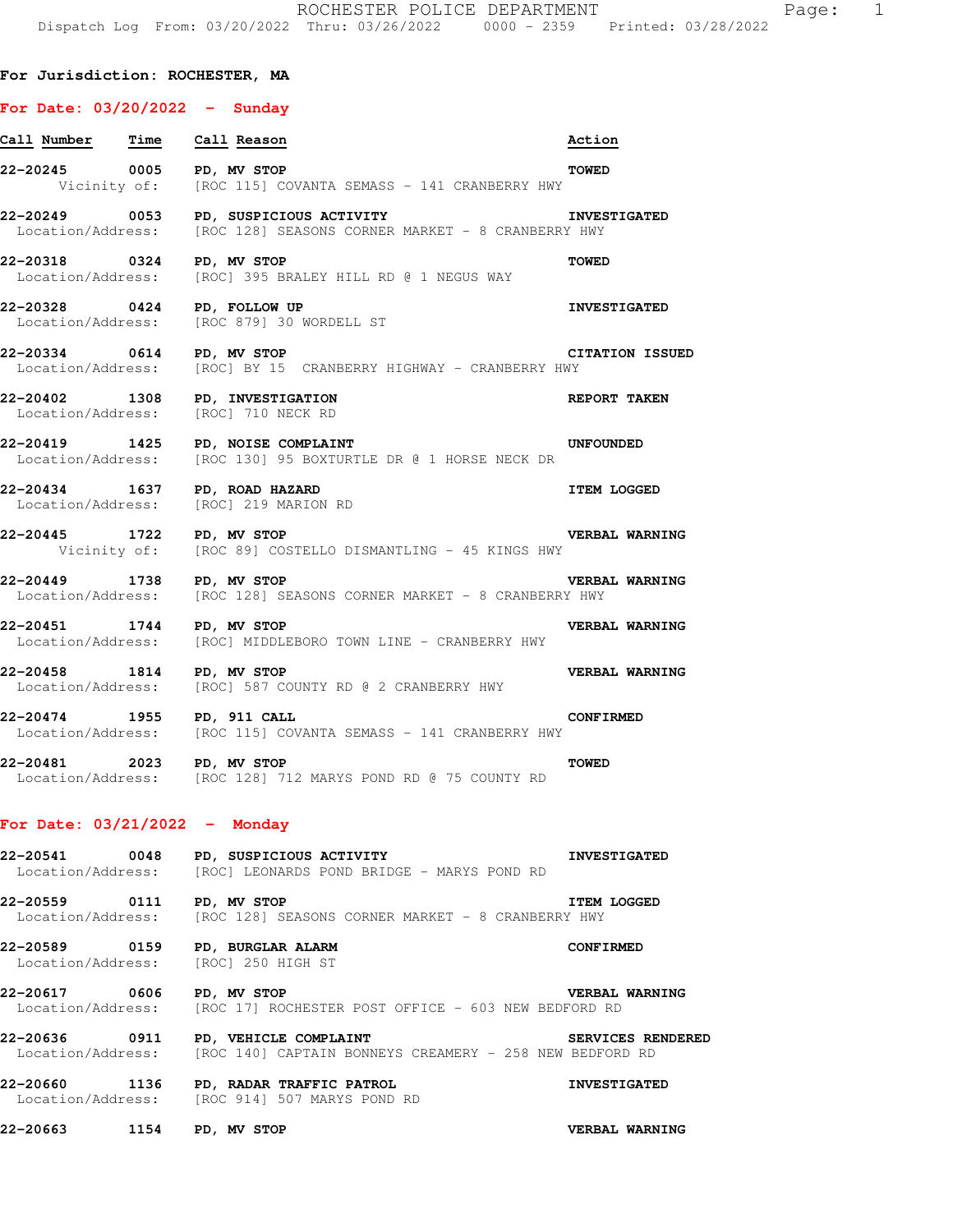## **For Jurisdiction: ROCHESTER, MA**

## **For Date: 03/20/2022 - Sunday**

| <u>Call Number Time Call Reason</u> |                                                                                                                  | Action                 |
|-------------------------------------|------------------------------------------------------------------------------------------------------------------|------------------------|
| 22-20245 0005 PD, MV STOP           | Vicinity of: [ROC 115] COVANTA SEMASS - 141 CRANBERRY HWY                                                        | TOWED                  |
|                                     | Location/Address: [ROC 128] SEASONS CORNER MARKET - 8 CRANBERRY HWY                                              |                        |
| 22-20318 0324 PD, MV STOP           | Location/Address: [ROC] 395 BRALEY HILL RD @ 1 NEGUS WAY                                                         | TOWED                  |
| 22-20328 0424 PD, FOLLOW UP         | Location/Address: [ROC 879] 30 WORDELL ST                                                                        | <b>INVESTIGATED</b>    |
| 22-20334 0614 PD, MV STOP           | Location/Address: [ROC] BY 15 CRANBERRY HIGHWAY - CRANBERRY HWY                                                  | <b>CITATION ISSUED</b> |
|                                     | 22-20402 1308 PD, INVESTIGATION<br>Location/Address: [ROC] 710 NECK RD                                           | <b>REPORT TAKEN</b>    |
|                                     | 22-20419   1425   PD, NOISE COMPLAINT<br>Location/Address: [ROC 130] 95 BOXTURTLE DR @ 1 HORSE NECK DR           | <b>UNFOUNDED</b>       |
|                                     | 22-20434 1637 PD, ROAD HAZARD<br>Location/Address: [ROC] 219 MARION RD                                           | <b>ITEM LOGGED</b>     |
| 22-20445 1722 PD, MV STOP           | Vicinity of: [ROC 89] COSTELLO DISMANTLING - 45 KINGS HWY                                                        | <b>VERBAL WARNING</b>  |
| 22-20449 1738 PD, MV STOP           | Location/Address: [ROC 128] SEASONS CORNER MARKET - 8 CRANBERRY HWY                                              | <b>VERBAL WARNING</b>  |
| 22-20451 1744 PD, MV STOP           | Location/Address: [ROC] MIDDLEBORO TOWN LINE - CRANBERRY HWY                                                     | <b>VERBAL WARNING</b>  |
| 22-20458 1814 PD, MV STOP           | Location/Address: [ROC] 587 COUNTY RD @ 2 CRANBERRY HWY                                                          | <b>VERBAL WARNING</b>  |
| 22-20474 1955 PD, 911 CALL          | Location/Address: [ROC 115] COVANTA SEMASS - 141 CRANBERRY HWY                                                   | <b>CONFIRMED</b>       |
| 22-20481 2023 PD, MV STOP           | Location/Address: [ROC 128] 712 MARYS POND RD @ 75 COUNTY RD                                                     | <b>TOWED</b>           |
| For Date: $03/21/2022 -$ Monday     |                                                                                                                  |                        |
|                                     | 22-20541 0048 PD, SUSPICIOUS ACTIVITY<br>Location/Address: [ROC] LEONARDS POND BRIDGE - MARYS POND RD            | <b>INVESTIGATED</b>    |
|                                     | 22-20559 0111 PD, MV STOP<br>Location/Address: [ROC 128] SEASONS CORNER MARKET - 8 CRANBERRY HWY                 | <b>ITEM LOGGED</b>     |
|                                     | 22-20589 0159 PD, BURGLAR ALARM<br>Location/Address: [ROC] 250 HIGH ST                                           | <b>CONFIRMED</b>       |
| 22-20617 0606 PD, MV STOP           | Location/Address: [ROC 17] ROCHESTER POST OFFICE - 603 NEW BEDFORD RD                                            | <b>VERBAL WARNING</b>  |
|                                     | 22-20636 0911 PD, VEHICLE COMPLAINT<br>Location/Address: [ROC 140] CAPTAIN BONNEYS CREAMERY - 258 NEW BEDFORD RD | SERVICES RENDERED      |
|                                     | 22-20660 1136 PD, RADAR TRAFFIC PATROL<br>Location/Address: [ROC 914] 507 MARYS POND RD                          | <b>INVESTIGATED</b>    |
| 22-20663                            | 1154 PD, MV STOP                                                                                                 | <b>VERBAL WARNING</b>  |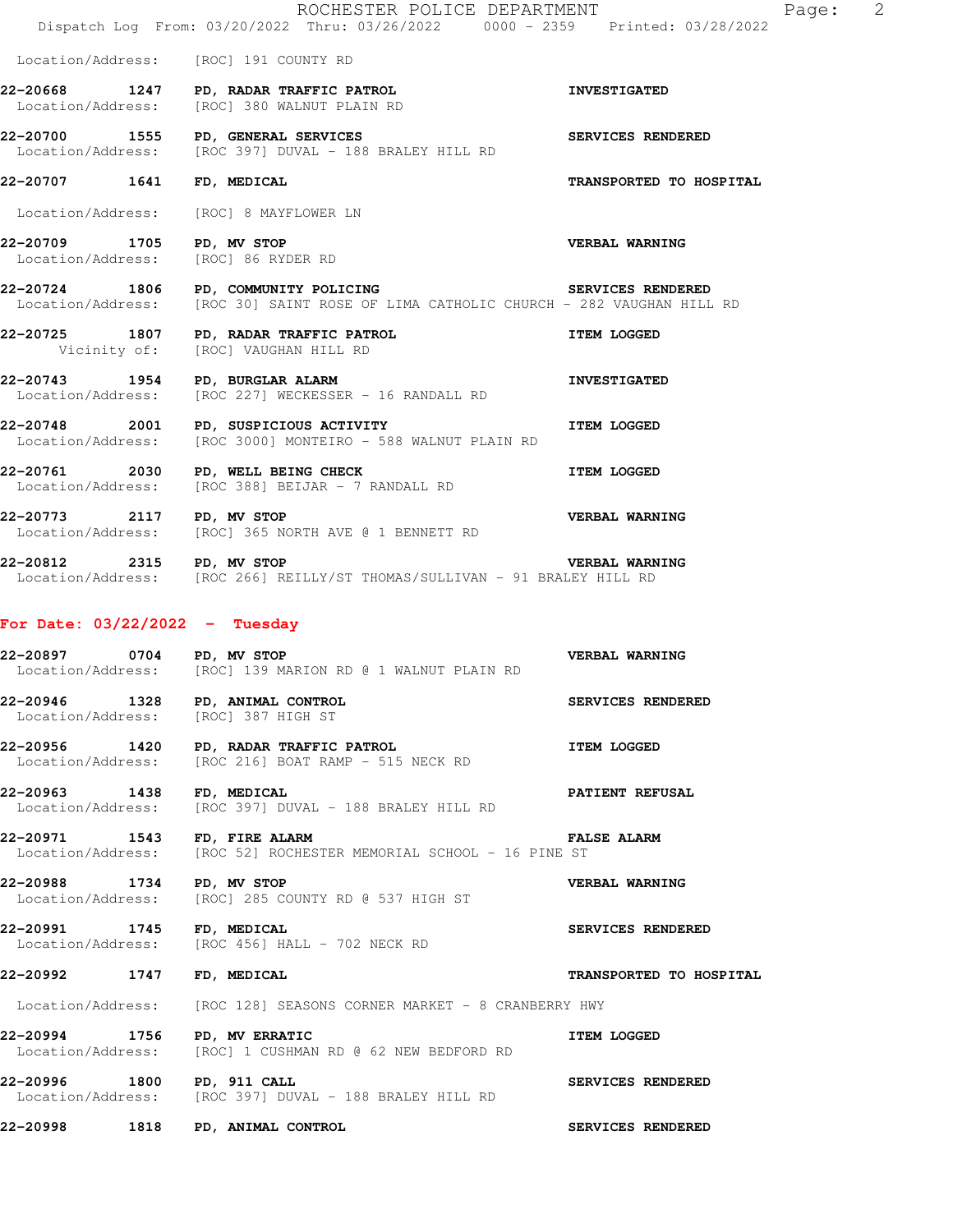|                                                                         | ROCHESTER POLICE DEPARTMENT<br>Dispatch Log From: 03/20/2022 Thru: 03/26/2022 0000 - 2359 Printed: 03/28/2022                                    | E                       |
|-------------------------------------------------------------------------|--------------------------------------------------------------------------------------------------------------------------------------------------|-------------------------|
| Location/Address: [ROC] 191 COUNTY RD                                   |                                                                                                                                                  |                         |
|                                                                         | 22-20668 1247 PD, RADAR TRAFFIC PATROL<br>Location/Address: [ROC] 380 WALNUT PLAIN RD                                                            | <b>INVESTIGATED</b>     |
|                                                                         | 22-20700 1555 PD, GENERAL SERVICES<br>Location/Address: [ROC 397] DUVAL - 188 BRALEY HILL RD                                                     | SERVICES RENDERED       |
| 22-20707 1641 FD, MEDICAL                                               |                                                                                                                                                  | TRANSPORTED TO HOSPITAL |
| Location/Address: [ROC] 8 MAYFLOWER LN                                  |                                                                                                                                                  |                         |
|                                                                         | Location/Address: [ROC] 86 RYDER RD                                                                                                              |                         |
|                                                                         | SERVICES RENDERED<br>22-20724 1806 PD, COMMUNITY POLICING<br>Location/Address: [ROC 30] SAINT ROSE OF LIMA CATHOLIC CHURCH - 282 VAUGHAN HILL RD |                         |
|                                                                         | 22-20725 1807 PD, RADAR TRAFFIC PATROL<br>Vicinity of: [ROC] VAUGHAN HILL RD                                                                     | <b>ITEM LOGGED</b>      |
|                                                                         | 22-20743 1954 PD, BURGLAR ALARM<br>Location/Address: [ROC 227] WECKESSER - 16 RANDALL RD                                                         | <b>INVESTIGATED</b>     |
|                                                                         | 22-20748 2001 PD, SUSPICIOUS ACTIVITY<br>Location/Address: [ROC 3000] MONTEIRO - 588 WALNUT PLAIN RD                                             |                         |
| 22-20761 2030 PD, WELL BEING CHECK                                      | ITEM LOGGED<br>Location/Address: [ROC 388] BEIJAR - 7 RANDALL RD                                                                                 |                         |
| 22-20773 2117 PD, MV STOP                                               | <b>VERBAL WARNING</b><br>Location/Address: [ROC] 365 NORTH AVE @ 1 BENNETT RD                                                                    |                         |
| 22-20812 2315 PD, MV STOP                                               | Location/Address: [ROC 266] REILLY/ST THOMAS/SULLIVAN - 91 BRALEY HILL RD                                                                        | <b>VERBAL WARNING</b>   |
| For Date: $03/22/2022 - Tuesday$                                        |                                                                                                                                                  |                         |
| 22-20897 0704 PD, MV STOP                                               | Location/Address: [ROC] 139 MARION RD @ 1 WALNUT PLAIN RD                                                                                        | <b>VERBAL WARNING</b>   |
| 22-20946 1328 PD, ANIMAL CONTROL<br>Location/Address: [ROC] 387 HIGH ST |                                                                                                                                                  | SERVICES RENDERED       |
| 22-20956                                                                | 1420 PD, RADAR TRAFFIC PATROL<br>Location/Address: [ROC 216] BOAT RAMP - 515 NECK RD                                                             | <b>ITEM LOGGED</b>      |
| 22-20963 1438 FD, MEDICAL                                               | Location/Address: [ROC 397] DUVAL - 188 BRALEY HILL RD                                                                                           | PATIENT REFUSAL         |
| 22-20971 1543 FD, FIRE ALARM                                            | Location/Address: [ROC 52] ROCHESTER MEMORIAL SCHOOL - 16 PINE ST                                                                                | <b>FALSE ALARM</b>      |
| 22-20988 1734 PD, MV STOP                                               | Location/Address: [ROC] 285 COUNTY RD @ 537 HIGH ST                                                                                              | VERBAL WARNING          |
|                                                                         | Location/Address: [ROC 456] HALL - 702 NECK RD                                                                                                   | SERVICES RENDERED       |
| 22-20992 1747 FD, MEDICAL                                               |                                                                                                                                                  | TRANSPORTED TO HOSPITAL |
|                                                                         | Location/Address: [ROC 128] SEASONS CORNER MARKET - 8 CRANBERRY HWY                                                                              |                         |
| 22-20994 1756 PD, MV ERRATIC                                            | Location/Address: [ROC] 1 CUSHMAN RD @ 62 NEW BEDFORD RD                                                                                         | <b>ITEM LOGGED</b>      |

**22-20996 1800 PD, 911 CALL SERVICES RENDERED**  Location/Address: [ROC 397] DUVAL - 188 BRALEY HILL RD

**22-20998 1818 PD, ANIMAL CONTROL SERVICES RENDERED** 

Page: 2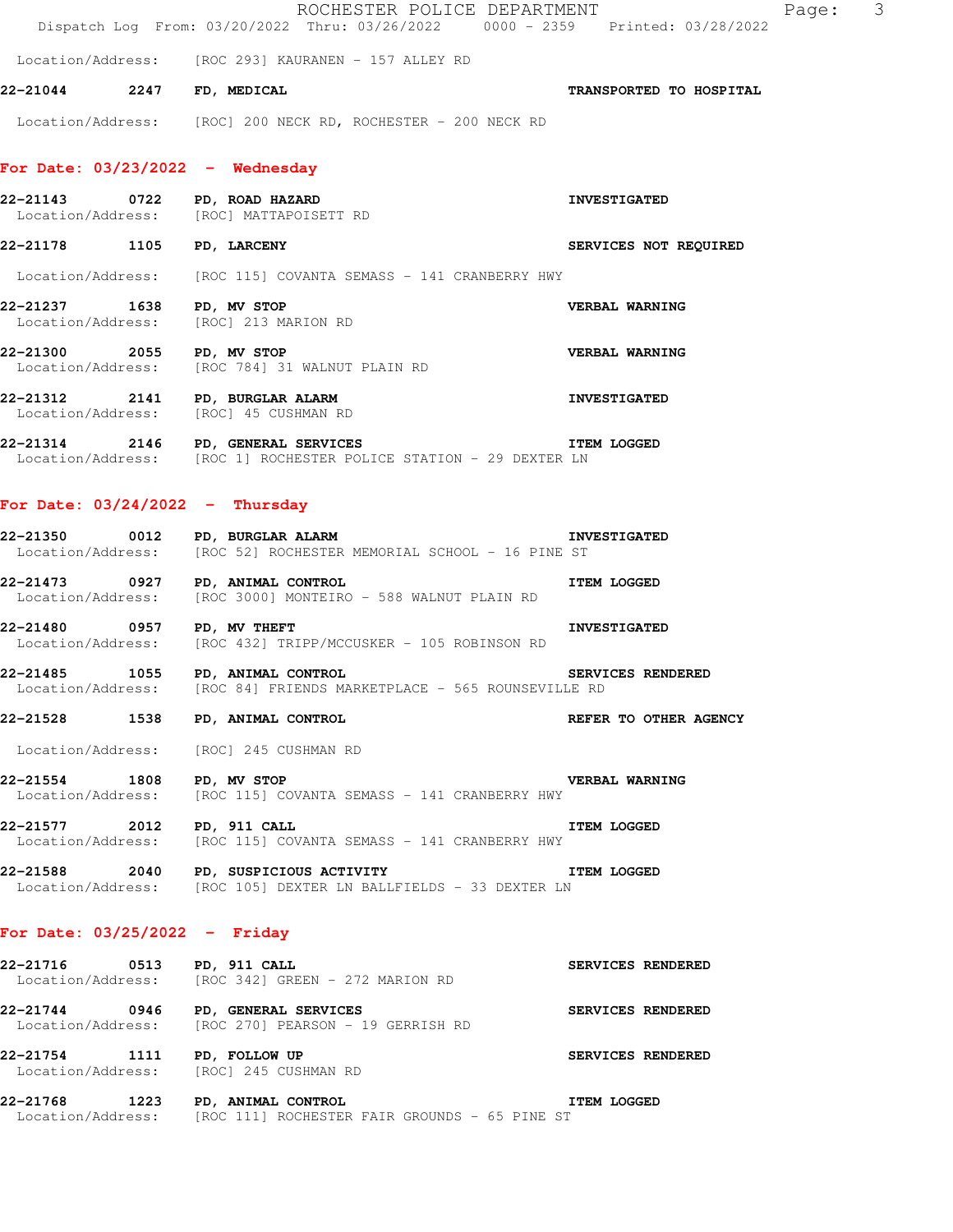|                                                                       |  | ROCHESTER POLICE DEPARTMENT<br>Dispatch Log From: 03/20/2022 Thru: 03/26/2022 0000 - 2359 Printed: 03/28/2022           |                         | Page: 3 |  |
|-----------------------------------------------------------------------|--|-------------------------------------------------------------------------------------------------------------------------|-------------------------|---------|--|
|                                                                       |  | Location/Address: [ROC 293] KAURANEN - 157 ALLEY RD                                                                     |                         |         |  |
| 22-21044 2247 FD, MEDICAL                                             |  |                                                                                                                         | TRANSPORTED TO HOSPITAL |         |  |
|                                                                       |  | Location/Address: [ROC] 200 NECK RD, ROCHESTER - 200 NECK RD                                                            |                         |         |  |
| For Date: $03/23/2022 -$ Wednesday                                    |  |                                                                                                                         |                         |         |  |
| 22-21143 0722 PD, ROAD HAZARD                                         |  | Location/Address: [ROC] MATTAPOISETT RD                                                                                 | <b>INVESTIGATED</b>     |         |  |
| 22-21178 1105 PD, LARCENY                                             |  |                                                                                                                         | SERVICES NOT REQUIRED   |         |  |
|                                                                       |  | Location/Address: [ROC 115] COVANTA SEMASS - 141 CRANBERRY HWY                                                          |                         |         |  |
| 22-21237 1638 PD, MV STOP<br>Location/Address: [ROC] 213 MARION RD    |  |                                                                                                                         | VERBAL WARNING          |         |  |
| 22-21300 2055 PD, MV STOP                                             |  | Location/Address: [ROC 784] 31 WALNUT PLAIN RD                                                                          | <b>VERBAL WARNING</b>   |         |  |
| Location/Address: [ROC] 45 CUSHMAN RD                                 |  | 22-21312 2141 PD, BURGLAR ALARM                                                                                         | <b>INVESTIGATED</b>     |         |  |
| 22-21314 2146 PD, GENERAL SERVICES                                    |  | Location/Address: [ROC 1] ROCHESTER POLICE STATION - 29 DEXTER LN                                                       | <b>ITEM LOGGED</b>      |         |  |
| For Date: $03/24/2022 - Thursday$                                     |  |                                                                                                                         |                         |         |  |
| 22-21350 0012 PD, BURGLAR ALARM                                       |  | Location/Address: [ROC 52] ROCHESTER MEMORIAL SCHOOL - 16 PINE ST                                                       | <b>INVESTIGATED</b>     |         |  |
| 22-21473 0927 PD, ANIMAL CONTROL                                      |  | Location/Address: [ROC 3000] MONTEIRO - 588 WALNUT PLAIN RD                                                             | <b>ITEM LOGGED</b>      |         |  |
| 22-21480 0957 PD, MV THEFT                                            |  | Location/Address: [ROC 432] TRIPP/MCCUSKER - 105 ROBINSON RD                                                            | <b>INVESTIGATED</b>     |         |  |
| 22-21485 1055 PD, ANIMAL CONTROL                                      |  | Location/Address: [ROC 84] FRIENDS MARKETPLACE - 565 ROUNSEVILLE RD                                                     | SERVICES RENDERED       |         |  |
| 22-21528 1538 PD, ANIMAL CONTROL                                      |  |                                                                                                                         | REFER TO OTHER AGENCY   |         |  |
| Location/Address: [ROC] 245 CUSHMAN RD                                |  |                                                                                                                         |                         |         |  |
| 22-21554 1808 PD, MV STOP                                             |  | Location/Address: [ROC 115] COVANTA SEMASS - 141 CRANBERRY HWY                                                          | <b>VERBAL WARNING</b>   |         |  |
| 22-21577 2012 PD, 911 CALL                                            |  | Location/Address: [ROC 115] COVANTA SEMASS - 141 CRANBERRY HWY                                                          | <b>ITEM LOGGED</b>      |         |  |
|                                                                       |  | 22-21588 2040 PD, SUSPICIOUS ACTIVITY THE TEM LOGGED<br>Location/Address: [ROC 105] DEXTER LN BALLFIELDS - 33 DEXTER LN |                         |         |  |
| For Date: $03/25/2022 -$ Friday                                       |  |                                                                                                                         |                         |         |  |
| 22-21716 0513 PD, 911 CALL                                            |  | Location/Address: [ROC 342] GREEN - 272 MARION RD                                                                       | SERVICES RENDERED       |         |  |
| 22-21744 0946 PD, GENERAL SERVICES                                    |  |                                                                                                                         | SERVICES RENDERED       |         |  |
| 22-21754 1111 PD, FOLLOW UP<br>Location/Address: [ROC] 245 CUSHMAN RD |  |                                                                                                                         | SERVICES RENDERED       |         |  |
| 22-21768 1223 PD, ANIMAL CONTROL                                      |  | Location/Address: [ROC 111] ROCHESTER FAIR GROUNDS - 65 PINE ST                                                         | <b>ITEM LOGGED</b>      |         |  |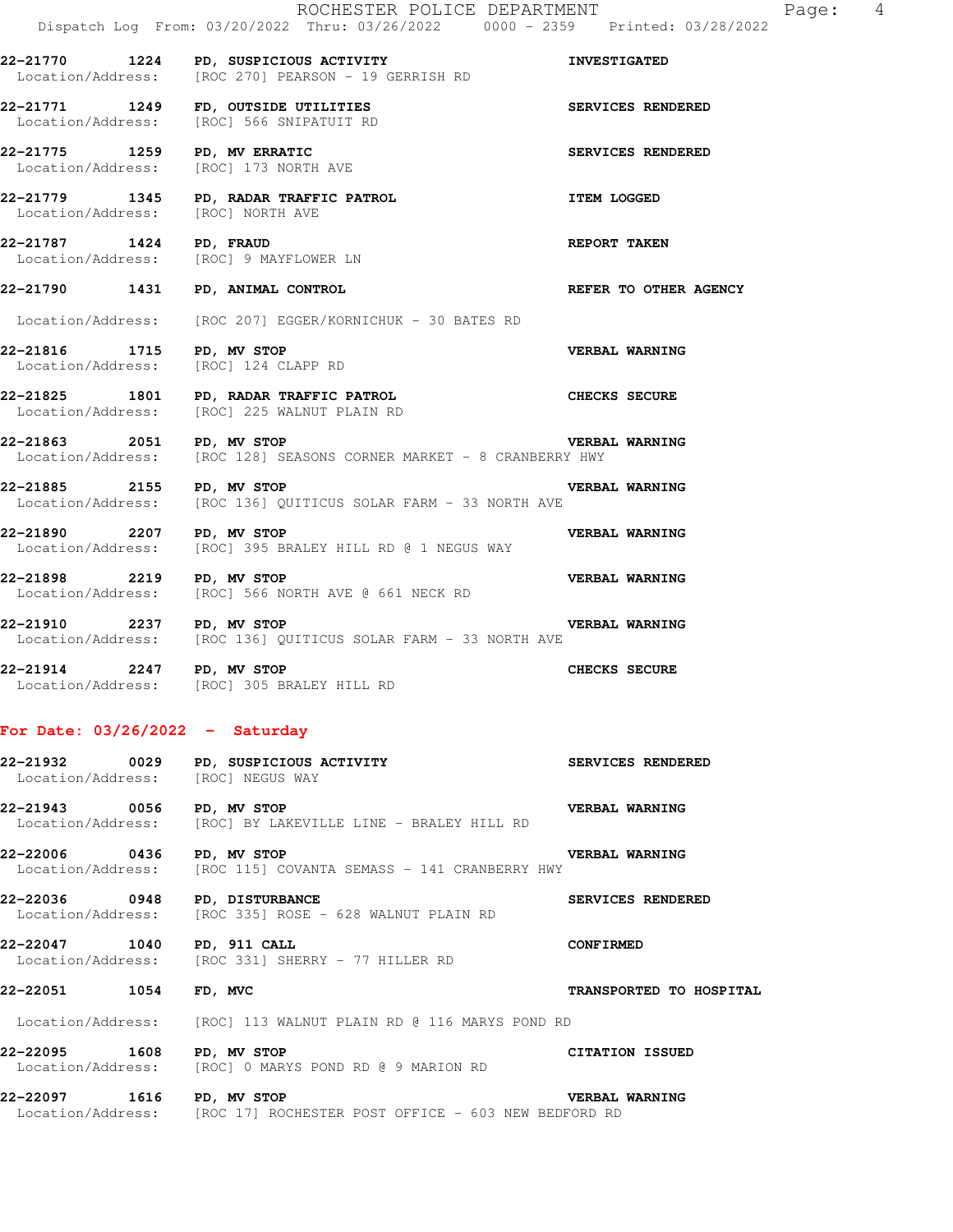**22-21770 1224 PD, SUSPICIOUS ACTIVITY INVESTIGATED** 

22-21771 1249 FD, OUTSIDE UTILITIES **1249 FD, AUTSIDE UTILITIES** 

Location/Address: [ROC 270] PEARSON - 19 GERRISH RD

Location/Address: [ROC] 566 SNIPATUIT RD

|                                                                   | 22-21775 1259 PD, MV ERRATIC<br>Location/Address: [ROC] 173 NORTH AVE                   | SERVICES RENDERED       |
|-------------------------------------------------------------------|-----------------------------------------------------------------------------------------|-------------------------|
| Location/Address: [ROC] NORTH AVE                                 | 22-21779 1345 PD, RADAR TRAFFIC PATROL NET TEM LOGGED                                   |                         |
| 22-21787 1424 PD, FRAUD                                           | 22-21707 1924 FD, FRAUD<br>Location/Address: [ROC] 9 MAYFLOWER LN                       | <b>REPORT TAKEN</b>     |
|                                                                   | 22-21790 1431 PD, ANIMAL CONTROL                                                        | REFER TO OTHER AGENCY   |
|                                                                   | Location/Address: [ROC 207] EGGER/KORNICHUK - 30 BATES RD                               |                         |
| 22-21816 1715 PD, MV STOP<br>Location/Address: [ROC] 124 CLAPP RD |                                                                                         | <b>VERBAL WARNING</b>   |
|                                                                   | 22-21825 1801 PD, RADAR TRAFFIC PATROL<br>Location/Address: [ROC] 225 WALNUT PLAIN RD   | CHECKS SECURE           |
| 22-21863 2051 PD, MV STOP                                         | Location/Address: [ROC 128] SEASONS CORNER MARKET - 8 CRANBERRY HWY                     | <b>VERBAL WARNING</b>   |
| 22-21885 2155 PD, MV STOP                                         | Location/Address: [ROC 136] QUITICUS SOLAR FARM - 33 NORTH AVE                          | <b>VERBAL WARNING</b>   |
| 22-21890 2207 PD, MV STOP                                         | Location/Address: [ROC] 395 BRALEY HILL RD @ 1 NEGUS WAY                                | VERBAL WARNING          |
| 22-21898 2219 PD, MV STOP                                         | Location/Address: [ROC] 566 NORTH AVE @ 661 NECK RD                                     | <b>VERBAL WARNING</b>   |
| 22-21910 2237 PD, MV STOP                                         | Location/Address: [ROC 136] QUITICUS SOLAR FARM - 33 NORTH AVE                          | <b>VERBAL WARNING</b>   |
|                                                                   | 22-21914 2247 PD, MV STOP<br>Location/Address: [ROC] 305 BRALEY HILL RD                 | <b>CHECKS SECURE</b>    |
| For Date: $03/26/2022 -$ Saturday                                 |                                                                                         |                         |
|                                                                   | 22-21932 0029 PD, SUSPICIOUS ACTIVITY<br>Location/Address: [ROC] NEGUS WAY              | SERVICES RENDERED       |
|                                                                   | 22-21943 0056 PD, MV STOP<br>Location/Address: [ROC] BY LAKEVILLE LINE - BRALEY HILL RD | <b>VERBAL WARNING</b>   |
| 22-22006 0436 PD, MV STOP                                         | Location/Address: [ROC 115] COVANTA SEMASS - 141 CRANBERRY HWY                          | <b>VERBAL WARNING</b>   |
|                                                                   |                                                                                         |                         |
| 22-22036 0948 PD, DISTURBANCE                                     | Location/Address: [ROC 335] ROSE - 628 WALNUT PLAIN RD                                  | SERVICES RENDERED       |
| 22-22047 1040 PD, 911 CALL                                        | Location/Address: [ROC 331] SHERRY - 77 HILLER RD                                       | <b>CONFIRMED</b>        |
|                                                                   | FD, MVC                                                                                 | TRANSPORTED TO HOSPITAL |
|                                                                   | Location/Address: [ROC] 113 WALNUT PLAIN RD @ 116 MARYS POND RD                         |                         |
| 22-22051 1054<br>22-22095 1608                                    | PD, MV STOP<br>Location/Address: [ROC] 0 MARYS POND RD @ 9 MARION RD                    | CITATION ISSUED         |